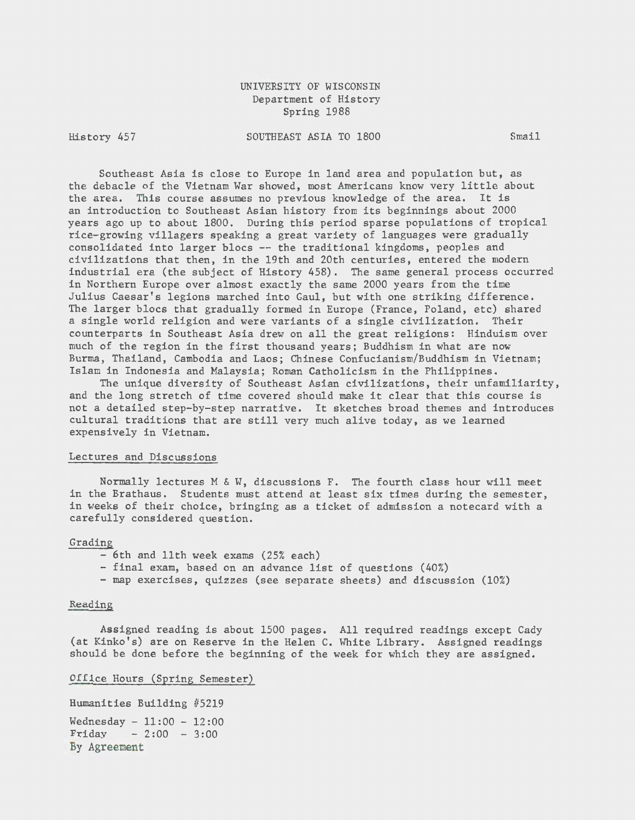UNIVERSITY OF WISCONSIN Department of History Spring 1988

History 457

SOUTHEAST ASIA TO 1800 Smail

Southeast Asia is close to Europe in land area and population but, as the debacle of the Vietnam War showed, most Americans know very little about the area. This course assumes no previous knowledge of the area. It is an introduction to Southeast Asian history from its beginnings about 2000 years ago up to about 1800. During this period sparse populations of tropical rice-growing villagers speaking a great variety of languages were gradually consolidated into larger blocs -- the traditional kingdoms, peoples and civilizations that then, in the 19th and 20th centuries, entered the modern industrial era (the subject of History 458). The same general process occurred in Northern Europe over almost exactly the same 2000 years from the time Julius Caesar's legions marched into Gaul, but with one striking difference. The larger blocs that gradually formed in Europe (France, Poland, etc) shared a single world religion and were variants of a single civilization. Their counterparts in Southeast Asia drew on all the great religions: Hinduism over much of the region in the first thousand years; Buddhism in what are now Burma, Thailand, Cambodia and Laos; Chinese Confucianism/Buddhism in Vietnam; Islam in Indonesia and Malaysia; Roman Catholicism in the Philippines.

The unique diversity of Southeast Asian civilizations, their unfamiliarity, and the long stretch of time covered should make it clear that this course is not a detailed step-by-step narrative. It sketches broad themes and introduces cultural traditions that are still very much alive today, as we learned expensively in Vietnam.

# Lectures and Discussions

Normally lectures M & W, discussions F. The fourth class hour will meet in the Brathaus. Students must attend at least six times during the semester, in weeks of their choice, bringing as a ticket of admission a notecard with a carefully considered question.

#### Grading

- 6th and 11th week exams (25% each)
- final exam, based on an advance list of questions (40%)
- map exercises, quizzes (see separate sheets) and discussion (10%)

## Reading

Assigned reading is about 1500 pages. All required readings except Cady (at Kinko's) are on Reserve in the Helen c. White Library. Assigned readings should be done before the beginning of the week for which they are assigned.

#### Office Hours (Spring Semester)

Humanities Building #5219 Wednesday - 11:00 - 12:00  $Friday - 2:00 - 3:00$ By Agreement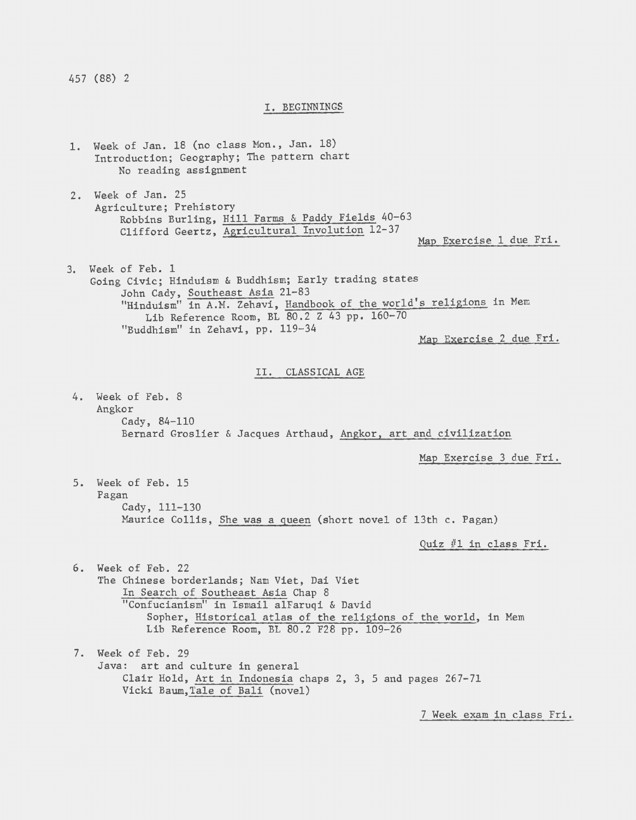457 (88) 2

## I. BEGINNINGS

1. Week of Jan. 18 (no class Mon., Jan. 18) Introduction; Geography; The pattern chart No reading assignment 2. Week of Jan. 25 Agriculture; Prehistory Robbins Burling, Hill Farms & Paddy Fields 40-63 Clifford Geertz, Agricultural Involution 12-37 Map Exercise 1 due Fri. 3. Week of Feb. 1 Going Civic; Hinduism & Buddhism; Early trading states John Cady, Southeast Asia 21-83 "Hinduism" in A.M. Zehavi, Handbook of the world's religions in Mem Lib Reference Room, BL 80.2 Z 43 pp. 160-70 "Buddhism" in Zehavi, pp. 119-34<br>
Map Exercise 2 due Fri. II. CLASSICAL AGE 4. Week of Feb. 8 Angkor Cady, 84-110 Bernard Groslier & Jacques Arthaud, Angkor, art and civilization 5. Week of Feb. 15 Pagan Cady, 111-130 Map Exercise 3 due Fri. Maurice Collis, She was a queen (short novel of 13th c. Pagan) 6. Week of Feb. 22 The Chinese borderlands; Nam Viet, Dai Viet In Search of Southeast Asia Chap 8 "Confucianism" in Ismail alFaruqi & David Quiz #1 in class Fri. Sopher, Historical atlas of the religions of the world, in Mem Lib Reference Room, BL 80.2 F28 pp. 109-26 7. Week of Feb. 29 Java: art and culture in general Clair Hold, Art in Indonesia chaps 2, 3, 5 and pages 267-71 Vicki Baum,Tale of Bali (novel)

7 Week exam in class Fri.